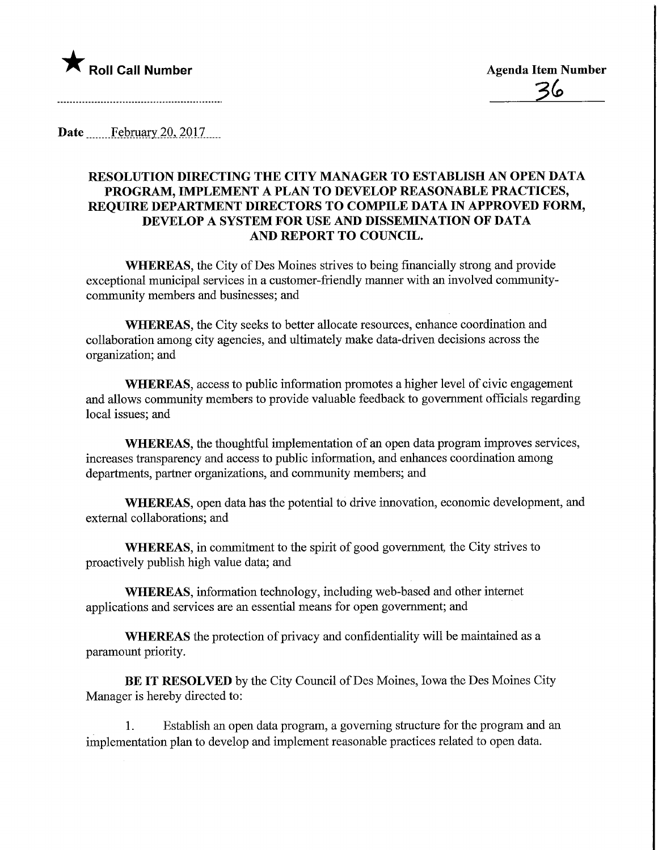

Date February 20, 2017....

## RESOLUTION DIRECTING THE CITY MANAGER TO ESTABLISH AN OPEN DATA PROGRAM, IMPLEMENT A PLAN TO DEVELOP REASONABLE PRACTICES, REQUIRE DEPARTMENT DIRECTORS TO COMPILE DATA IN APPROVED FORM, DEVELOP A SYSTEM FOR USE AND DISSEMINATION OF DATA AND REPORT TO COUNCIL.

WHEREAS, the City of Des Moines strives to being financially strong and provide exceptional municipal services in a customer-friendly manner with an involved communitycommunity members and businesses; and

WHEREAS, the City seeks to better allocate resources, enhance coordination and collaboration among city agencies, and ultimately make data-driven decisions across the organization; and

WHEREAS, access to public information promotes a higher level of civic engagement and allows community members to provide valuable feedback to government officials regarding local issues; and

WHEREAS, the thoughtful implementation of an open data program improves services, increases transparency and access to public information, and enhances coordination among departments, partner organizations, and community members; and

WHEREAS, open data has the potential to drive innovation, economic development, and external collaborations; and

WHEREAS, in commitment to the spirit of good government, the City strives to proactively publish high value data; and

WHEREAS, information technology, including web-based and other internet applications and services are an essential means for open government; and

WHEREAS the protection of privacy and confidentiality will be maintained as a paramount priority.

BE IT RESOLVED by the City Council of Des Moines, Iowa the Des Moines City Manager is hereby directed to:

1. Establish an open data program, a governing structure for the program and an implementation plan to develop and implement reasonable practices related to open data.